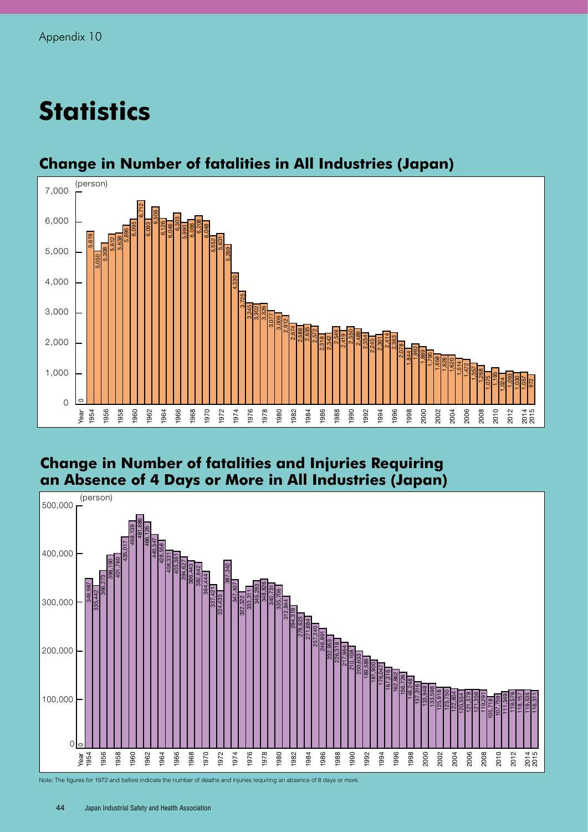# **Statistics**



## **Change in Number of fatalities in All Industries (Japan)**

### **Change in Number of fatalities and Injuries Requiring an Absence of 4 Days or More in All Industries (Japan)**



Note: The figures for 1972 and before indicate the number of deaths and injuries requiring an absence of 8 days or more.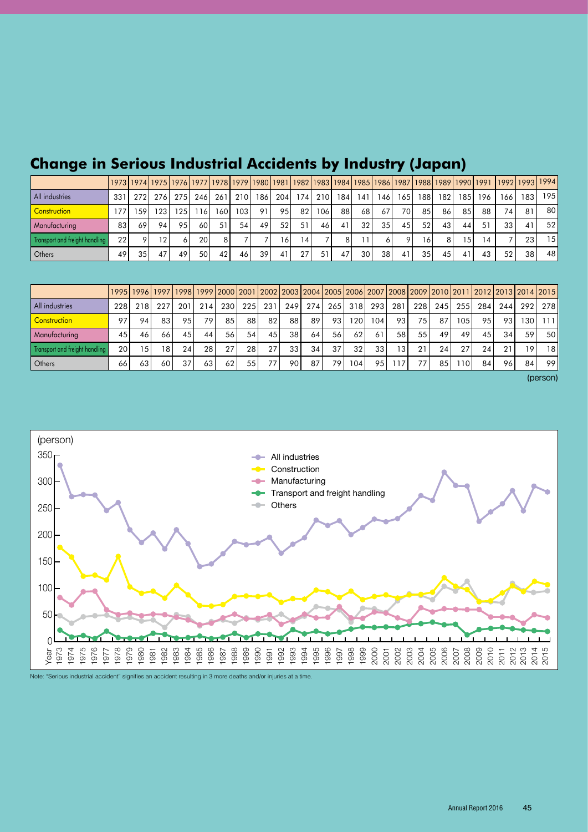|                                |     |         |       |                 |     |     |                  |                 |     |     |      |     |                 |              |      |                 |      |      |                 | 1973 1974 1975 1976 1977 1978 1979 1980 1981 1982 1983 1984 1985 1986 1987 1988 1989 1990 1991  1992 1993 1994 |                |     |
|--------------------------------|-----|---------|-------|-----------------|-----|-----|------------------|-----------------|-----|-----|------|-----|-----------------|--------------|------|-----------------|------|------|-----------------|----------------------------------------------------------------------------------------------------------------|----------------|-----|
| All industries                 | 331 | 2721    | 276 I | 275             | 246 | 261 | 210              | 186             | 204 | 174 | 210l | 184 | 141             | 146          | 165  | 188 I           | 182  | 1851 | 196             | 166                                                                                                            | 183            | 195 |
| <b>Construction</b>            |     | 159     | 1231  | 1251            | 116 | 160 | 103 <sub>l</sub> | 911             | 95  | 82  | 1061 | 88  | 68 I            | 67           | 70 l | 85              | 86 I | 85   | 88              | 74                                                                                                             | 81             | 80  |
| Manufacturing                  | 831 | 69      | 94    | 95 <sub>1</sub> | 60  | 51  | 54               | 49              | 52  | 51  | 46   | 41  | 32 <sub>l</sub> | 35           | 45   | 52 <sub>l</sub> | 431  | 44   | 51              | 33 <sub>1</sub>                                                                                                | $\overline{4}$ | 52  |
| Transport and freight handling | 22  | $\circ$ | 12    | 6               | 20  | 81  |                  |                 | 161 | 4   |      | 81  |                 | <sup>6</sup> |      | 16 <sup>1</sup> | 81   | 15   | $\overline{14}$ |                                                                                                                | 23             | 15  |
| Others                         | 49  | 35      | 47    | 49              | 50  | 42  | 46               | 39 <sub>1</sub> | 41  | 27  | 51   | 47  | 30 l            | 38           | 41   | 35 <sub>1</sub> | 45   | 41   | 43              | 52 <sub>1</sub>                                                                                                | 38 I           | 48  |

# **Change in Serious Industrial Accidents by Industry (Japan)**

|                                |                 |       |     |     |                 |                 |     |                 |      |                 |       |       |                  |                 |     | 1995 1996 1997 1998 1999 2000 2001 2002 2003 2004 2005 2006 2007 2008 2009 2010 2011 2012 2013 2014 2015 |       |     |     |                 |     |
|--------------------------------|-----------------|-------|-----|-----|-----------------|-----------------|-----|-----------------|------|-----------------|-------|-------|------------------|-----------------|-----|----------------------------------------------------------------------------------------------------------|-------|-----|-----|-----------------|-----|
| <b>All industries</b>          | 228             | 218 I | 227 | 201 | 214             | 230             | 225 | 231             | 2491 | 274             | 265 l | 318 l | 2931             | 281             | 228 | 245 l                                                                                                    | 255 l | 284 | 244 | 292             | 278 |
| Construction                   | 97              | 94    | 83  | 95  | 79              | 85 <sub>1</sub> | 88  | 821             | 881  | 89 <sub>1</sub> | 931   | 120   | 104 <sub>1</sub> | 93              | 75  | 87                                                                                                       | 105   | 95  | 93  | 130             | 111 |
| <b>Manufacturing</b>           | 45              | 46    | 66  | 45  | 44              | 56              | 54  | 45 <sub>1</sub> | 38 I | 64              | 56    | 62    | 61               | 58              | 55  | 49                                                                                                       | 49    | 45  | 34  | 59              | 50  |
| Transport and freight handling | 20 <sub>1</sub> | 15    | 181 | 24  | 28 <sub>1</sub> | 27              | 28  | 27              | 331  | 34              | 37    | 32    | 33               | 13 <sub>1</sub> | 21  | 24                                                                                                       | 27    | 24. | 21  | 19 <sub>1</sub> | 18  |
| Others                         | 66              | 63    | 60  | 37  | 63              | 62              | 55  | 77.             | 901  | 87              | 79    | 104   | 95               |                 |     | 85                                                                                                       | 1101  | 84  | 96  | 84              | 99  |

(person)



Note: "Serious industrial accident" signifies an accident resulting in 3 more deaths and/or injuries at a time.